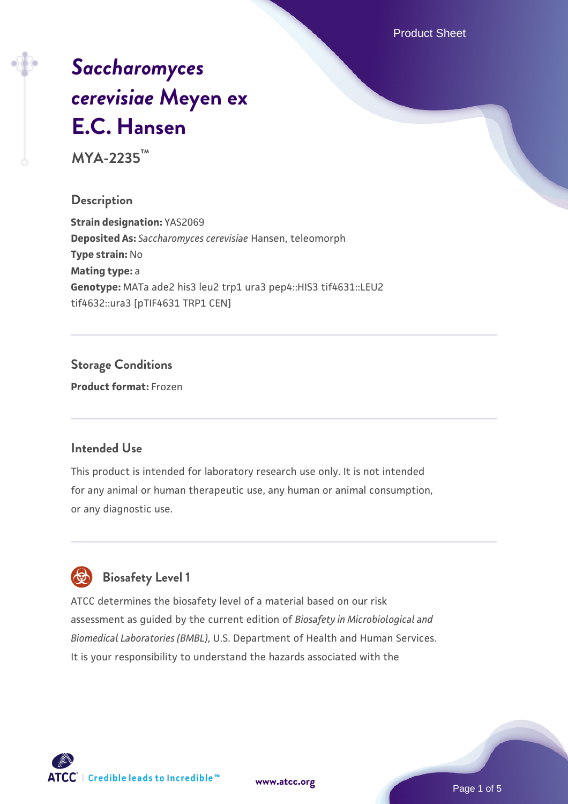Product Sheet

# *[Saccharomyces](https://www.atcc.org/products/mya-2235) [cerevisiae](https://www.atcc.org/products/mya-2235)* **[Meyen ex](https://www.atcc.org/products/mya-2235) [E.C. Hansen](https://www.atcc.org/products/mya-2235)**

**MYA-2235™**

#### **Description**

**Strain designation:** YAS2069 **Deposited As:** *Saccharomyces cerevisiae* Hansen, teleomorph **Type strain:** No **Mating type:** a **Genotype:** MATa ade2 his3 leu2 trp1 ura3 pep4::HIS3 tif4631::LEU2 tif4632::ura3 [pTIF4631 TRP1 CEN]

**Storage Conditions**

**Product format:** Frozen

#### **Intended Use**

This product is intended for laboratory research use only. It is not intended for any animal or human therapeutic use, any human or animal consumption, or any diagnostic use.



#### **Biosafety Level 1**

ATCC determines the biosafety level of a material based on our risk assessment as guided by the current edition of *Biosafety in Microbiological and Biomedical Laboratories (BMBL)*, U.S. Department of Health and Human Services. It is your responsibility to understand the hazards associated with the

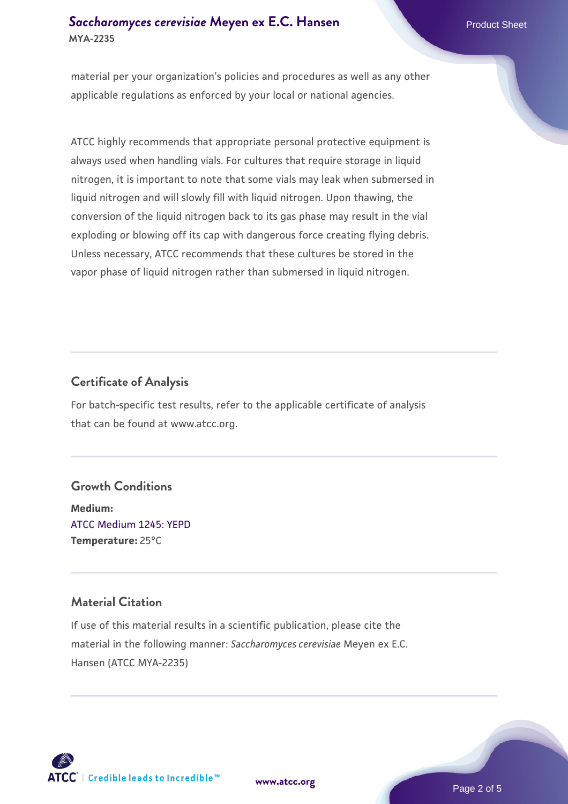#### **[Saccharomyces cerevisiae](https://www.atcc.org/products/mya-2235)** [Meyen ex E.C. Hansen](https://www.atcc.org/products/mya-2235) **MYA-2235**

material per your organization's policies and procedures as well as any other applicable regulations as enforced by your local or national agencies.

ATCC highly recommends that appropriate personal protective equipment is always used when handling vials. For cultures that require storage in liquid nitrogen, it is important to note that some vials may leak when submersed in liquid nitrogen and will slowly fill with liquid nitrogen. Upon thawing, the conversion of the liquid nitrogen back to its gas phase may result in the vial exploding or blowing off its cap with dangerous force creating flying debris. Unless necessary, ATCC recommends that these cultures be stored in the vapor phase of liquid nitrogen rather than submersed in liquid nitrogen.

#### **Certificate of Analysis**

For batch-specific test results, refer to the applicable certificate of analysis that can be found at www.atcc.org.

#### **Growth Conditions**

**Medium:**  [ATCC Medium 1245: YEPD](https://www.atcc.org/-/media/product-assets/documents/microbial-media-formulations/1/2/4/5/atcc-medium-1245.pdf?rev=705ca55d1b6f490a808a965d5c072196) **Temperature:** 25°C

#### **Material Citation**

If use of this material results in a scientific publication, please cite the material in the following manner: *Saccharomyces cerevisiae* Meyen ex E.C. Hansen (ATCC MYA-2235)



**[www.atcc.org](http://www.atcc.org)**

Page 2 of 5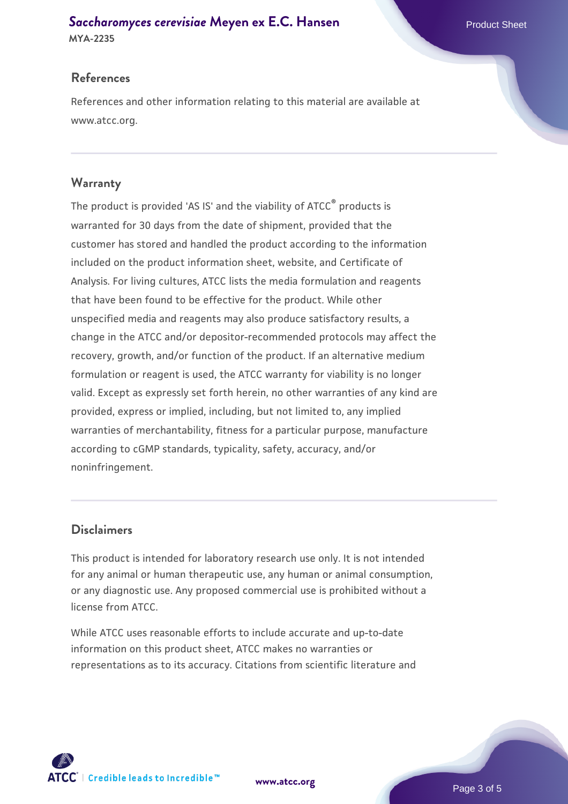## **[Saccharomyces cerevisiae](https://www.atcc.org/products/mya-2235)** [Meyen ex E.C. Hansen](https://www.atcc.org/products/mya-2235)

**MYA-2235**

#### **References**

References and other information relating to this material are available at www.atcc.org.

#### **Warranty**

The product is provided 'AS IS' and the viability of ATCC® products is warranted for 30 days from the date of shipment, provided that the customer has stored and handled the product according to the information included on the product information sheet, website, and Certificate of Analysis. For living cultures, ATCC lists the media formulation and reagents that have been found to be effective for the product. While other unspecified media and reagents may also produce satisfactory results, a change in the ATCC and/or depositor-recommended protocols may affect the recovery, growth, and/or function of the product. If an alternative medium formulation or reagent is used, the ATCC warranty for viability is no longer valid. Except as expressly set forth herein, no other warranties of any kind are provided, express or implied, including, but not limited to, any implied warranties of merchantability, fitness for a particular purpose, manufacture according to cGMP standards, typicality, safety, accuracy, and/or noninfringement.

#### **Disclaimers**

This product is intended for laboratory research use only. It is not intended for any animal or human therapeutic use, any human or animal consumption, or any diagnostic use. Any proposed commercial use is prohibited without a license from ATCC.

While ATCC uses reasonable efforts to include accurate and up-to-date information on this product sheet, ATCC makes no warranties or representations as to its accuracy. Citations from scientific literature and

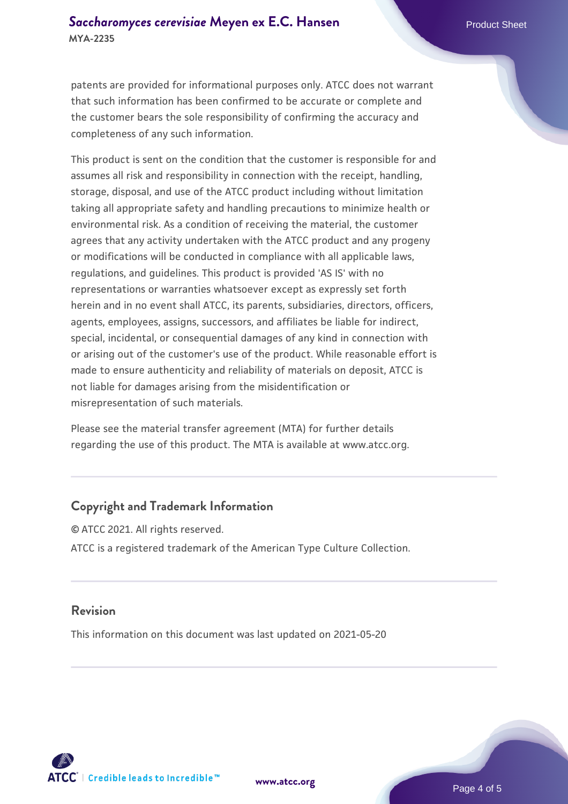patents are provided for informational purposes only. ATCC does not warrant that such information has been confirmed to be accurate or complete and the customer bears the sole responsibility of confirming the accuracy and completeness of any such information.

This product is sent on the condition that the customer is responsible for and assumes all risk and responsibility in connection with the receipt, handling, storage, disposal, and use of the ATCC product including without limitation taking all appropriate safety and handling precautions to minimize health or environmental risk. As a condition of receiving the material, the customer agrees that any activity undertaken with the ATCC product and any progeny or modifications will be conducted in compliance with all applicable laws, regulations, and guidelines. This product is provided 'AS IS' with no representations or warranties whatsoever except as expressly set forth herein and in no event shall ATCC, its parents, subsidiaries, directors, officers, agents, employees, assigns, successors, and affiliates be liable for indirect, special, incidental, or consequential damages of any kind in connection with or arising out of the customer's use of the product. While reasonable effort is made to ensure authenticity and reliability of materials on deposit, ATCC is not liable for damages arising from the misidentification or misrepresentation of such materials.

Please see the material transfer agreement (MTA) for further details regarding the use of this product. The MTA is available at www.atcc.org.

#### **Copyright and Trademark Information**

© ATCC 2021. All rights reserved. ATCC is a registered trademark of the American Type Culture Collection.

#### **Revision**

This information on this document was last updated on 2021-05-20



**[www.atcc.org](http://www.atcc.org)**